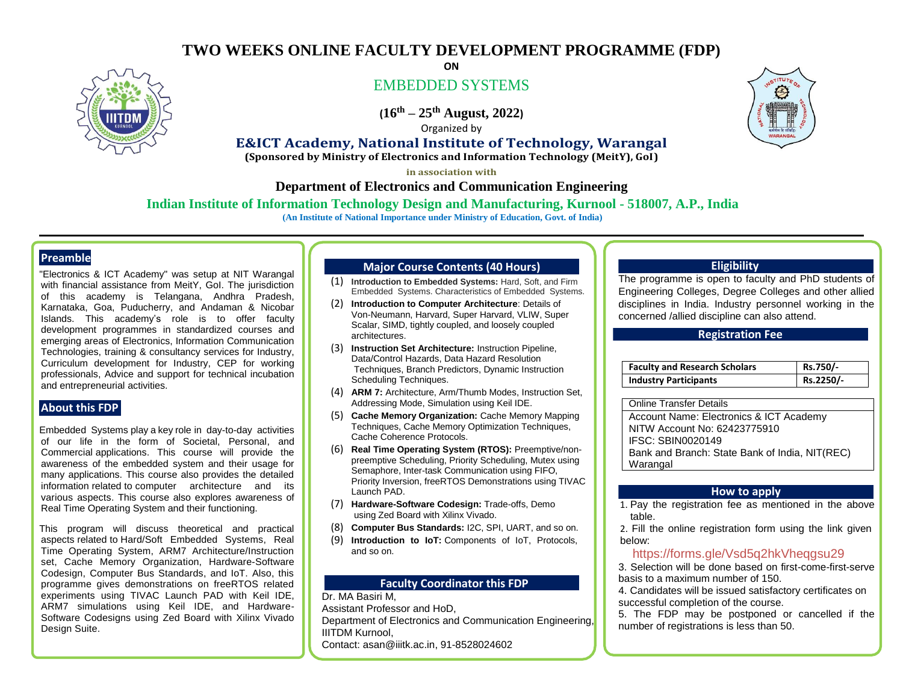# **TWO WEEKS ONLINE FACULTY DEVELOPMENT PROGRAMME (FDP)**



#### **ON**

## EMBEDDED SYSTEMS

**(16th – 25th August, 2022)**

Organized by

**E&ICT Academy, National Institute of Technology, Warangal**

**(Sponsored by Ministry of Electronics and Information Technology (MeitY), GoI)**

**in association with**

## **Department of Electronics and Communication Engineering**

### **Indian Institute of Information Technology Design and Manufacturing, Kurnool - 518007, A.P., India**

**(An Institute of National Importance under Ministry of Education, Govt. of India)**

### **Preamble**

"Electronics & ICT Academy" was setup at NIT Warangal with financial assistance from MeitY, GoI. The jurisdiction of this academy is Telangana, Andhra Pradesh, Karnataka, Goa, Puducherry, and Andaman & Nicobar Islands. This academy's role is to offer faculty development programmes in standardized courses and emerging areas of Electronics, Information Communication Technologies, training & consultancy services for Industry, Curriculum development for Industry, CEP for working professionals, Advice and support for technical incubation and entrepreneurial activities.

## **About this FDP**

Embedded Systems play a key role in day-to-day activities of our life in the form of Societal, Personal, and Commercial applications. This course will provide the awareness of the embedded system and their usage for many applications. This course also provides the detailed information related to computer architecture and its various aspects. This course also explores awareness of Real Time Operating System and their functioning.

This program will discuss theoretical and practical aspects related to Hard/Soft Embedded Systems, Real Time Operating System, ARM7 Architecture/Instruction set, Cache Memory Organization, Hardware-Software Codesign, Computer Bus Standards, and IoT. Also, this programme gives demonstrations on freeRTOS related experiments using TIVAC Launch PAD with Keil IDE, ARM7 simulations using Keil IDE, and Hardware-Software Codesigns using Zed Board with Xilinx Vivado Design Suite.

### **Major Course Contents (40 Hours)**

- (1) **Introduction to Embedded Systems:** Hard, Soft, and Firm Embedded Systems. Characteristics of Embedded Systems.
- (2) **Introduction to Computer Architecture**: Details of Von-Neumann, Harvard, Super Harvard, VLIW, Super Scalar, SIMD, tightly coupled, and loosely coupled architectures.
- (3) **Instruction Set Architecture:** Instruction Pipeline, Data/Control Hazards, Data Hazard Resolution Techniques, Branch Predictors, Dynamic Instruction Scheduling Techniques.
- (4) **ARM 7:** Architecture, Arm/Thumb Modes, Instruction Set, Addressing Mode, Simulation using Keil IDE.
- (5) **Cache Memory Organization:** Cache Memory Mapping Techniques, Cache Memory Optimization Techniques, Cache Coherence Protocols.
- (6) **Real Time Operating System (RTOS):** Preemptive/nonpreemptive Scheduling, Priority Scheduling, Mutex using Semaphore, Inter-task Communication using FIFO, Priority Inversion, freeRTOS Demonstrations using TIVAC Launch PAD.
- (7) **Hardware-Software Codesign:** Trade-offs, Demo using Zed Board with Xilinx Vivado.
- (8) **Computer Bus Standards:** I2C, SPI, UART, and so on.
- (9) **Introduction to IoT:** Components of IoT, Protocols, and so on.

### **Faculty Coordinator this FDP**

Dr. MA Basiri M,

Assistant Professor and HoD,

 Department of Electronics and Communication Engineering, IIITDM Kurnool,

Contact: [asan@iiitk.ac.in,](mailto:asan@iiitk.ac.in) 91-8528024602

### **Eligibility**

The programme is open to faculty and PhD students of Engineering Colleges, Degree Colleges and other allied disciplines in India. Industry personnel working in the concerned /allied discipline can also attend.

#### **Registration Fee**

| <b>Faculty and Research Scholars</b> | Rs.750/-  |
|--------------------------------------|-----------|
| <b>Industry Participants</b>         | Rs.2250/- |

Online Transfer Details

Account Name: Electronics & ICT Academy NITW Account No: 62423775910 IFSC: SBIN0020149 Bank and Branch: State Bank of India, NIT(REC) Warangal

#### **How to apply**

1. Pay the registration fee as mentioned in the above table.

2. Fill the online registration form using the link given below:

#### <https://forms.gle/Vsd5q2hkVheqgsu29>

3. Selection will be done based on first-come-first-serve basis to a maximum number of 150.

4. Candidates will be issued satisfactory certificates on successful completion of the course.

5. The FDP may be postponed or cancelled if the number of registrations is less than 50.